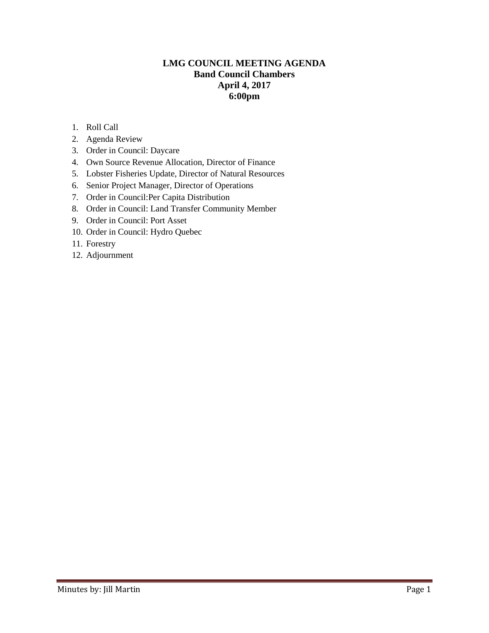## **LMG COUNCIL MEETING AGENDA Band Council Chambers April 4, 2017 6:00pm**

- 1. Roll Call
- 2. Agenda Review
- 3. Order in Council: Daycare
- 4. Own Source Revenue Allocation, Director of Finance
- 5. Lobster Fisheries Update, Director of Natural Resources
- 6. Senior Project Manager, Director of Operations
- 7. Order in Council:Per Capita Distribution
- 8. Order in Council: Land Transfer Community Member
- 9. Order in Council: Port Asset
- 10. Order in Council: Hydro Quebec
- 11. Forestry
- 12. Adjournment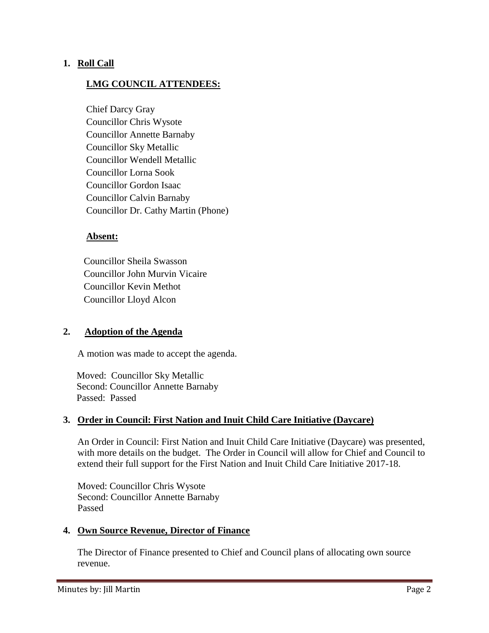## **1. Roll Call**

# **LMG COUNCIL ATTENDEES:**

Chief Darcy Gray Councillor Chris Wysote Councillor Annette Barnaby Councillor Sky Metallic Councillor Wendell Metallic Councillor Lorna Sook Councillor Gordon Isaac Councillor Calvin Barnaby Councillor Dr. Cathy Martin (Phone)

#### **Absent:**

 Councillor Sheila Swasson Councillor John Murvin Vicaire Councillor Kevin Methot Councillor Lloyd Alcon

## **2. Adoption of the Agenda**

A motion was made to accept the agenda.

 Moved: Councillor Sky Metallic Second: Councillor Annette Barnaby Passed: Passed

## **3. Order in Council: First Nation and Inuit Child Care Initiative (Daycare)**

An Order in Council: First Nation and Inuit Child Care Initiative (Daycare) was presented, with more details on the budget. The Order in Council will allow for Chief and Council to extend their full support for the First Nation and Inuit Child Care Initiative 2017-18.

Moved: Councillor Chris Wysote Second: Councillor Annette Barnaby Passed

#### **4. Own Source Revenue, Director of Finance**

The Director of Finance presented to Chief and Council plans of allocating own source revenue.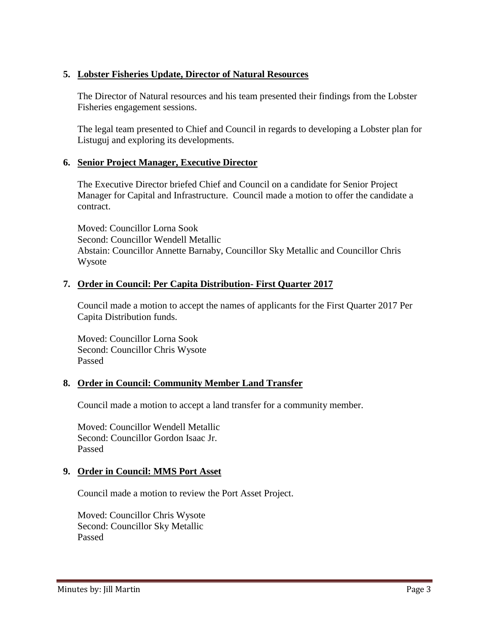## **5. Lobster Fisheries Update, Director of Natural Resources**

The Director of Natural resources and his team presented their findings from the Lobster Fisheries engagement sessions.

The legal team presented to Chief and Council in regards to developing a Lobster plan for Listuguj and exploring its developments.

# **6. Senior Project Manager, Executive Director**

The Executive Director briefed Chief and Council on a candidate for Senior Project Manager for Capital and Infrastructure. Council made a motion to offer the candidate a contract.

Moved: Councillor Lorna Sook Second: Councillor Wendell Metallic Abstain: Councillor Annette Barnaby, Councillor Sky Metallic and Councillor Chris Wysote

## **7. Order in Council: Per Capita Distribution- First Quarter 2017**

Council made a motion to accept the names of applicants for the First Quarter 2017 Per Capita Distribution funds.

Moved: Councillor Lorna Sook Second: Councillor Chris Wysote Passed

## **8. Order in Council: Community Member Land Transfer**

Council made a motion to accept a land transfer for a community member.

Moved: Councillor Wendell Metallic Second: Councillor Gordon Isaac Jr. Passed

## **9. Order in Council: MMS Port Asset**

Council made a motion to review the Port Asset Project.

Moved: Councillor Chris Wysote Second: Councillor Sky Metallic Passed